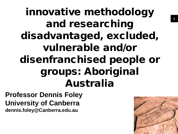innovative methodology and researching disadvantaged, excluded, vulnerable and/or disenfranchised people or groups: Aboriginal Australia

**Professor Dennis Foley University of Canberra dennis.foley@Canberra.edu.au**

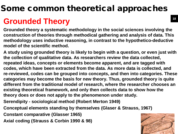# Some common theoretical approaches

# **Grounded Theory**

**Grounded theory a systematic methodology in the social sciences involving the construction of theories through methodical gathering and analysis of data. This methodology uses inductive reasoning, in contrast to the hypothetico-deductive model of the scientific method.** 

**A study using grounded theory is likely to begin with a question, or even just with the collection of qualitative data. As researchers review the data collected, repeated ideas, concepts or elements become apparent, and are tagged with codes, which have been extracted from the data. As more data is collected, and re-reviewed, codes can be grouped into concepts, and then into categories. These categories may become the basis for new theory. Thus, grounded theory is quite different from the traditional model of research, where the researcher chooses an existing theoretical framework, and only then collects data to show how the theory does or does not apply to the phenomenon under study.**

- **Serendipity - sociological method (Robert Merton 1949)**
- **Conceptual elements standing by themselves (Glaser & Strauss, 1967)**
- **Constant comparative (Glasser 1965)**
- **Axial coding (Strauss & Corbin 1990 & 98)**

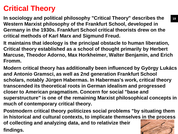# **Critical Theory**

**In sociology and political philosophy "Critical Theory" describes the Western Marxist philosophy of the Frankfurt School, developed in Germany in the 1930s. Frankfurt School critical theorists drew on the critical methods of Karl Marx and Sigmund Freud.** 

**It maintains that ideology is the principal obstacle to human liberation, Critical theory established as a school of thought primarily by Herbert Marcuse, Theodor Adorno, Max Horkheimer, Walter Benjamin, and Erich Fromm.** 

**Modern critical theory has additionally been influenced by György Lukács and Antonio Gramsci, as well as 2nd generation Frankfurt School scholars, notably Jürgen Habermas. In Habermas's work, critical theory transcended its theoretical roots in German idealism and progressed closer to American pragmatism. Concern for social "base and superstructure" is one of the remaining Marxist philosophical concepts in much of contemporary critical theory.**

**Postmodern critical theory politicizes social problems "by situating them in historical and cultural contexts, to implicate themselves in the process of collecting and analyzing data, and to relativize their findings.**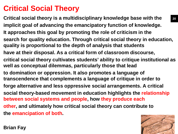# **Critical Social Theory**

**Critical social theory is a multidisciplinary knowledge base with the implicit goal of advancing the emancipatory function of knowledge. It approaches this goal by promoting the role of criticism in the search for quality education. Through critical social theory in education, quality is proportional to the depth of analysis that students have at their disposal. As a critical form of classroom discourse, critical social theory cultivates students' ability to critique institutional as well as conceptual dilemmas, particularly those that lead to domination or oppression. It also promotes a language of transcendence that complements a language of critique in order to forge alternative and less oppressive social arrangements. A critical social theory-based movement in education highlights the relationship between social systems and people, how they produce each other, and ultimately how critical social theory can contribute to the emancipation of both. 20**



**Brian Fay**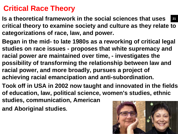# **Critical Race Theory**

- **Is a theoretical framework in the social sciences that uses critical theory to examine society and culture as they relate to categorizations of race, law, and power. 21**
- **Began in the mid- to late 1980s as a reworking of critical legal studies on race issues - proposes that white supremacy and racial power are maintained over time, - investigates the possibility of transforming the relationship between law and racial power, and more broadly, pursues a project of achieving racial emancipation and anti-subordination.**
- **Took off in USA in 2002 now taught and innovated in the fields of education, law, political science, women's studies, ethnic**
- **studies, communication, American**
- **and Aboriginal studies.**

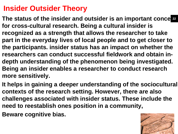## **Insider Outsider Theory**

The status of the insider and outsider is an important conce  $\boldsymbol{22}$ **for cross-cultural research. Being a cultural insider is recognized as a strength that allows the researcher to take part in the everyday lives of local people and to get closer to the participants. insider status has an impact on whether the researchers can conduct successful fieldwork and obtain indepth understanding of the phenomenon being investigated. Being an insider enables a researcher to conduct research more sensitively.**

**It helps in gaining a deeper understanding of the sociocultural contexts of the research setting. However, there are also challenges associated with insider status. These include the need to reestablish ones position in a community,** 

**Beware cognitive bias.**

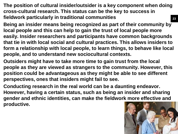**The position of cultural insider/outsider is a key component when doing cross-cultural research. This status can be the key to success in fieldwork particularly in traditional communities 23**

- **Being an insider means being recognized as part of their community by local people and this can help to gain the trust of local people more easily. Insider researchers and participants have common backgrounds that tie in with local social and cultural practices. This allows insiders to form a relationship with local people, to learn things, to behave like local people, and to understand new sociocultural contexts.**
- **Outsiders might have to take more time to gain trust from the local people as they are viewed as strangers to the community. However, this position could be advantageous as they might be able to see different perspectives, ones that insiders might fail to see.**
- **Conducting research in the real world can be a daunting endeavor. However, having a certain status, such as being an insider and sharing gender and ethnic identities, can make the fieldwork more effective and productive.**

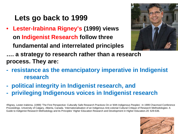## **Lets go back to 1999**

• **Lester-Irabinna Rigney's (1999) views on Indigenist Research follow three fundamental and interrelated principles** 



**…. a strategy to research rather than a research process. They are:**

- **- resistance as the emancipatory imperative in Indigenist research**
- **- political integrity in Indigenist research, and**
- **- privileging Indigenous voices in Indigenist research**

•Rigney, Lester-Irabinna. (1999) 'The First Perspective: Culturally Safe Research Practices On or With Indigenous Peoples'. In 1999 Chacmool Conference Proceedings. University of Calgary, Alberta, Canada. 'Internationalisation of an Indigenous Anti-colonial Cultural Critique of Research Methodologies: A Guide to Indigenist Research Methodology and its Principles' Higher Education Research and Development in Higher Education.20: 629-636.

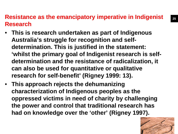#### **Resistance as the emancipatory imperative in Indigenist Research**

- **This is research undertaken as part of Indigenous Australia's struggle for recognition and selfdetermination. This is justified in the statement: 'whilst the primary goal of Indigenist research is selfdetermination and the resistance of radicalization, it can also be used for quantitative or qualitative research for self-benefit' (Rigney 1999: 13).**
- **This approach rejects the dehumanizing characterization of Indigenous peoples as the oppressed victims in need of charity by challenging the power and control that traditional research has had on knowledge over the 'other' (Rigney 1997).**

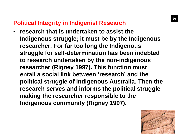#### **Political Integrity in Indigenist Research**

• **research that is undertaken to assist the Indigenous struggle; it must be by the Indigenous researcher. For far too long the Indigenous struggle for self-determination has been indebted to research undertaken by the non-indigenous researcher (Rigney 1997). This function must entail a social link between 'research' and the political struggle of Indigenous Australia. Then the research serves and informs the political struggle making the researcher responsible to the Indigenous community (Rigney 1997).**

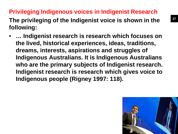## **Privileging Indigenous voices in Indigenist Research**

**The privileging of the Indigenist voice is shown in the following:**

• **… Indigenist research is research which focuses on the lived, historical experiences, ideas, traditions, dreams, interests, aspirations and struggles of Indigenous Australians. It is Indigenous Australians who are the primary subjects of Indigenist research. Indigenist research is research which gives voice to Indigenous people (Rigney 1997: 118).** 

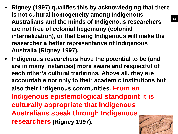- **Rigney (1997) qualifies this by acknowledging that there is not cultural homogeneity among Indigenous Australians and the minds of Indigenous researchers are not free of colonial hegemony (colonial internalization), or that being Indigenous will make the researcher a better representative of Indigenous Australia (Rigney 1997).**
- **Indigenous researchers have the potential to be (and are in many instances) more aware and respectful of each other's cultural traditions. Above all, they are accountable not only to their academic institutions but also their Indigenous communities. From an Indigenous epistemological standpoint it is culturally appropriate that Indigenous Australians speak through Indigenous researchers (Rigney 1997).**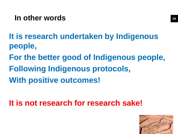## **In other words**

**It is research undertaken by Indigenous people, For the better good of Indigenous people, Following Indigenous protocols, With positive outcomes!**

**It is not research for research sake!**

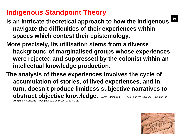## **Indigenous Standpoint Theory**

- **is an intricate theoretical approach to how the Indigenous navigate the difficulties of their experiences within spaces which contest their epistemology.**
- **More precisely, its utilisation stems from a diverse background of marginalised groups whose experiences were rejected and suppressed by the colonist within an intellectual knowledge production.**
- **The analysis of these experiences involves the cycle of accumulation of stories, of lived experiences, and in turn, doesn't produce limitless subjective narratives to obstruct objective knowledge.** Nakata, Martin (2007). Disciplining the Savages: Savaging the Disciplines. Canberra: Aboriginal Studies Press. p. 213–216.

**30**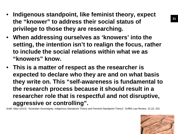- **Indigenous standpoint, like feminist theory, expect the "knower" to address their social status of privilege to those they are researching.**
- **When addressing ourselves as 'knowers' into the setting, the intention isn't to realign the focus, rather to include the social relations within what we as "knowers" know.**
- **This is a matter of respect as the researcher is expected to declare who they are and on what basis they write on. This "self-awareness is fundamental to the research process because it should result in a researcher role that is respectful and not disruptive, aggressive or controlling".**

Ardill, Allan (2013). "Australian Sovereignty, Indigenous Standpoint Theory and Feminist Standpoint Theory". Griffith Law Review. 22 (2): 323.

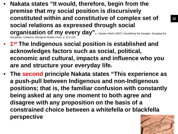- **Nakata states "It would, therefore, begin from the premise that my social position is discursively constituted within and constitutive of complex set of social relations as expressed through social organisation of my every day".** Nakata, Martin (2007). Disciplining the Savages: Savaging the Disciplines. Canberra: Aboriginal Studies Press. p. 213-2
- **1st The Indigenous social position is established and acknowledges factors such as social, political, economic and cultural, impacts and influence who you are and structure your everyday life.**
- **The second principle Nakata states "This experience as a push-pull between Indigenous and non-Indigenous positions; that is, the familiar confusion with constantly being asked at any one moment to both agree and disagree with any proposition on the basis of a constrained choice between a whitefella or blackfella perspective**



**32**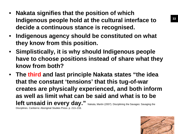- **Nakata signifies that the position of which Indigenous people hold at the cultural interface to decide a continuous stance is recognised.**
- **Indigenous agency should be constituted on what they know from this position.**
- **Simplistically, it is why should Indigenous people have to choose positions instead of share what they know from both?**
- **The third and last principle Nakata states "the idea that the constant 'tensions' that this tug-of-war creates are physically experienced, and both inform as well as limit what can be said and what is to be**  left unsaid in every day." Nakata, Martin (2007). Disciplining the Savages: Savaging the

Disciplines. Canberra: Aboriginal Studies Press. p. 213–216.

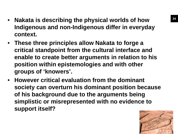- **Nakata is describing the physical worlds of how Indigenous and non-Indigenous differ in everyday context.**
- **These three principles allow Nakata to forge a critical standpoint from the cultural interface and enable to create better arguments in relation to his position within epistemologies and with other groups of 'knowers'.**
- **However critical evaluation from the dominant society can overturn his dominant position because of his background due to the arguments being simplistic or misrepresented with no evidence to support itself?**

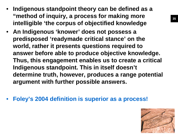- **Indigenous standpoint theory can be defined as a "method of inquiry, a process for making more intelligible 'the corpus of objectified knowledge**
- **An Indigenous 'knower' does not possess a predisposed 'readymade critical stance' on the world, rather it presents questions required to answer before able to produce objective knowledge. Thus, this engagement enables us to create a critical Indigenous standpoint. This in itself doesn't determine truth, however, produces a range potential argument with further possible answers.**
- **Foley's 2004 definition is superior as a process!**

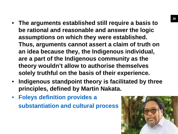- **The arguments established still require a basis to be rational and reasonable and answer the logic assumptions on which they were established. Thus, arguments cannot assert a claim of truth on an idea because they, the Indigenous individual, are a part of the Indigenous community as the theory wouldn't allow to authorise themselves solely truthful on the basis of their experience.**
- **Indigenous standpoint theory is facilitated by three principles, defined by Martin Nakata.**
- **Foleys definition provides a substantiation and cultural process**

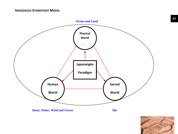